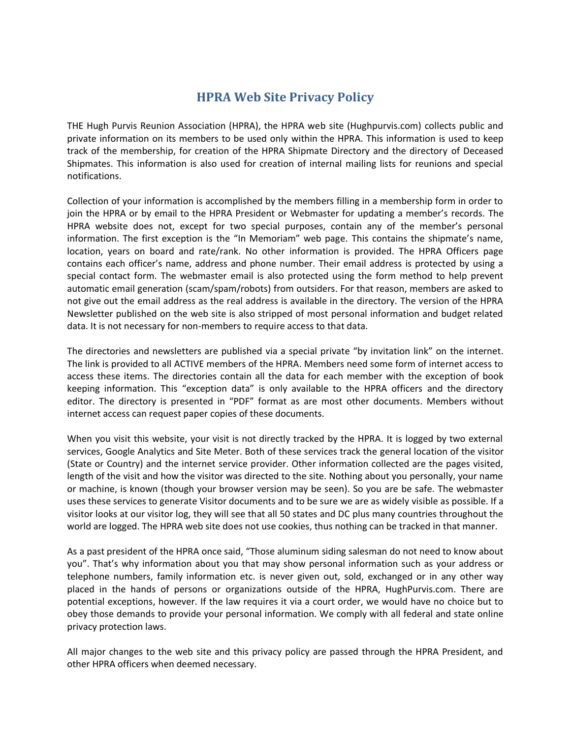## **HPRA Web Site Privacy Policy**

THE Hugh Purvis Reunion Association (HPRA), the HPRA web site (Hughpurvis.com) collects public and private information on its members to be used only within the HPRA. This information is used to keep track of the membership, for creation of the HPRA Shipmate Directory and the directory of Deceased Shipmates. This information is also used for creation of internal mailing lists for reunions and special notifications.

Collection of your information is accomplished by the members filling in a membership form in order to join the HPRA or by email to the HPRA President or Webmaster for updating a member's records. The HPRA website does not, except for two special purposes, contain any of the member's personal information. The first exception is the "In Memoriam" web page. This contains the shipmate's name, location, years on board and rate/rank. No other information is provided. The HPRA Officers page contains each officer's name, address and phone number. Their email address is protected by using a special contact form. The webmaster email is also protected using the form method to help prevent automatic email generation (scam/spam/robots) from outsiders. For that reason, members are asked to not give out the email address as the real address is available in the directory. The version of the HPRA Newsletter published on the web site is also stripped of most personal information and budget related data. It is not necessary for non-members to require access to that data.

The directories and newsletters are published via a special private "by invitation link" on the internet. The link is provided to all ACTIVE members of the HPRA. Members need some form of internet access to access these items. The directories contain all the data for each member with the exception of book keeping information. This "exception data" is only available to the HPRA officers and the directory editor. The directory is presented in "PDF" format as are most other documents. Members without internet access can request paper copies of these documents.

When you visit this website, your visit is not directly tracked by the HPRA. It is logged by two external services, Google Analytics and Site Meter. Both of these services track the general location of the visitor (State or Country) and the internet service provider. Other information collected are the pages visited, length of the visit and how the visitor was directed to the site. Nothing about you personally, your name or machine, is known (though your browser version may be seen). So you are be safe. The webmaster uses these services to generate Visitor documents and to be sure we are as widely visible as possible. If a visitor looks at our visitor log, they will see that all 50 states and DC plus many countries throughout the world are logged. The HPRA web site does not use cookies, thus nothing can be tracked in that manner.

As a past president of the HPRA once said, "Those aluminum siding salesman do not need to know about you". That's why information about you that may show personal information such as your address or telephone numbers, family information etc. is never given out, sold, exchanged or in any other way placed in the hands of persons or organizations outside of the HPRA, HughPurvis.com. There are potential exceptions, however. If the law requires it via a court order, we would have no choice but to obey those demands to provide your personal information. We comply with all federal and state online privacy protection laws.

All major changes to the web site and this privacy policy are passed through the HPRA President, and other HPRA officers when deemed necessary.